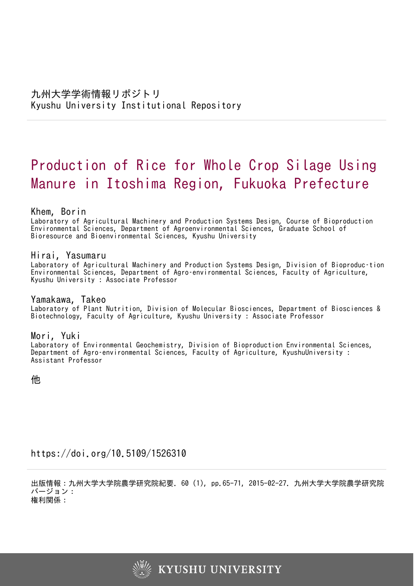# Production of Rice for Whole Crop Silage Using Manure in Itoshima Region, Fukuoka Prefecture

Khem, Borin

Laboratory of Agricultural Machinery and Production Systems Design, Course of Bioproduction Environmental Sciences, Department of Agroenvironmental Sciences, Graduate School of Bioresource and Bioenvironmental Sciences, Kyushu University

Hirai, Yasumaru Laboratory of Agricultural Machinery and Production Systems Design, Division of Bioproduc–tion Environmental Sciences, Department of Agro–environmental Sciences, Faculty of Agriculture, Kyushu University : Associate Professor

Yamakawa, Takeo Laboratory of Plant Nutrition, Division of Molecular Biosciences, Department of Biosciences & Biotechnology, Faculty of Agriculture, Kyushu University : Associate Professor

Mori, Yuki Laboratory of Environmental Geochemistry, Division of Bioproduction Environmental Sciences, Department of Agro–environmental Sciences, Faculty of Agriculture, KyushuUniversity : Assistant Professor

他

https://doi.org/10.5109/1526310

出版情報:九州大学大学院農学研究院紀要. 60 (1), pp.65-71, 2015-02-27. 九州大学大学院農学研究院 バージョン: 権利関係:

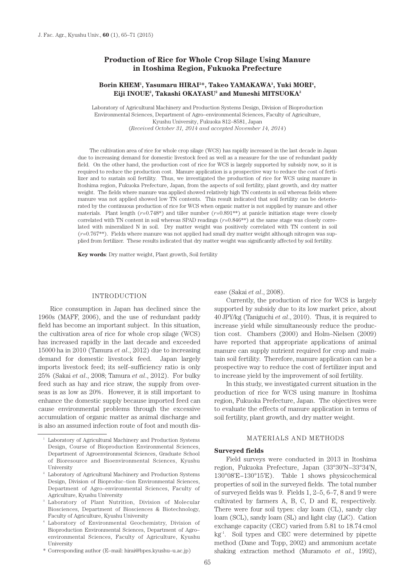# **Production of Rice for Whole Crop Silage Using Manure in Itoshima Region, Fukuoka Prefecture**

## Borin KHEM<sup>1</sup>, Yasumaru HIRAI<sup>2\*</sup>, Takeo YAMAKAWA<sup>3</sup>, Yuki MORI<sup>4</sup>, **Eiji INOUE2 , Takashi OKAYASU2 and Muneshi MITSUOKA2**

Laboratory of Agricultural Machinery and Production Systems Design, Division of Bioproduction Environmental Sciences, Department of Agro–environmental Sciences, Faculty of Agriculture, Kyushu University, Fukuoka 812–8581, Japan (*Received October 31, 2014 and accepted November 14, 2014*)

The cultivation area of rice for whole crop silage (WCS) has rapidly increased in the last decade in Japan due to increasing demand for domestic livestock feed as well as a measure for the use of redundant paddy field. On the other hand, the production cost of rice for WCS is largely supported by subsidy now, so it is required to reduce the production cost. Manure application is a prospective way to reduce the cost of fertilizer and to sustain soil fertility. Thus, we investigated the production of rice for WCS using manure in Itoshima region, Fukuoka Prefecture, Japan, from the aspects of soil fertility, plant growth, and dry matter weight. The fields where manure was applied showed relatively high TN contents in soil whereas fields where manure was not applied showed low TN contents. This result indicated that soil fertility can be deteriorated by the continuous production of rice for WCS when organic matter is not supplied by manure and other materials. Plant length  $(r=0.748*)$  and tiller number  $(r=0.891**)$  at panicle initiation stage were closely correlated with TN content in soil whereas SPAD readings (*r*=0.846\*\*) at the same stage was closely correlated with mineralized N in soil. Dry matter weight was positively correlated with TN content in soil (*r*=0.767\*\*). Fields where manure was not applied had small dry matter weight although nitrogen was supplied from fertilizer. These results indicated that dry matter weight was significantly affected by soil fertility.

**Key words**: Dry matter weight, Plant growth, Soil fertility

#### INTRODUCTION

Rice consumption in Japan has declined since the 1960s (MAFF, 2006), and the use of redundant paddy field has become an important subject. In this situation, the cultivation area of rice for whole crop silage (WCS) has increased rapidly in the last decade and exceeded 15000 ha in 2010 (Tamura *et al*., 2012) due to increasing demand for domestic livestock feed. Japan largely imports livestock feed; its self–sufficiency ratio is only 25% (Sakai *et al*., 2008; Tamura *et al*., 2012). For bulky feed such as hay and rice straw, the supply from overseas is as low as 20%. However, it is still important to enhance the domestic supply because imported feed can cause environmental problems through the excessive accumulation of organic matter as animal discharge and is also an assumed infection route of foot and mouth dis-

#### ease (Sakai *et al*., 2008).

Currently, the production of rice for WCS is largely supported by subsidy due to its low market price, about 40 JPY/kg (Taniguchi *et al*., 2010). Thus, it is required to increase yield while simultaneously reduce the production cost. Chambers (2000) and Holm–Nielsen (2009) have reported that appropriate applications of animal manure can supply nutrient required for crop and maintain soil fertility. Therefore, manure application can be a prospective way to reduce the cost of fertilizer input and to increase yield by the improvement of soil fertility.

In this study, we investigated current situation in the production of rice for WCS using manure in Itoshima region, Fukuoka Prefecture, Japan. The objectives were to evaluate the effects of manure application in terms of soil fertility, plant growth, and dry matter weight.

## MATERIALS AND METHODS

#### **Surveyed fields**

Field surveys were conducted in 2013 in Itoshima region, Fukuoka Prefecture, Japan (33°30'N−33°34'N, 130°08'E−130°15'E). Table 1 shows physicochemical properties of soil in the surveyed fields. The total number of surveyed fields was 9. Fields 1, 2–5, 6–7, 8 and 9 were cultivated by farmers A, B, C, D and E, respectively. There were four soil types: clay loam (CL), sandy clay loam (SCL), sandy loam (SL) and light clay (LiC). Cation exchange capacity (CEC) varied from 5.81 to 18.74 cmol  $kg<sup>-1</sup>$ . Soil types and CEC were determined by pipette method (Dane and Topp, 2002) and ammonium acetate shaking extraction method (Muramoto *et al*., 1992),

<sup>&</sup>lt;sup>1</sup> Laboratory of Agricultural Machinery and Production Systems Design, Course of Bioproduction Environmental Sciences, Department of Agroenvironmental Sciences, Graduate School of Bioresource and Bioenvironmental Sciences, Kyushu University

 $^{\rm 2}$  Laboratory of Agricultural Machinery and Production Systems Design, Division of Bioproduc–tion Environmental Sciences, Department of Agro–environmental Sciences, Faculty of Agriculture, Kyushu University<br>3 Laboratory of Plant Nutrition, Division of Molecular

Biosciences, Department of Biosciences & Biotechnology, Faculty of Agriculture, Kyushu University<br>Laboratory of Environmental Geochemistry, Division of

Bioproduction Environmental Sciences, Department of Agro– environmental Sciences, Faculty of Agriculture, Kyushu University

<sup>\*</sup> Corresponding author (E–mail: hirai@bpes.kyushu–u.ac.jp)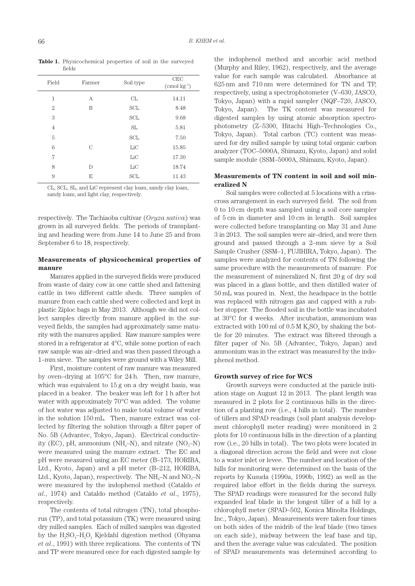| Field          | Farmer | Soil type  | CEC<br>$(\text{cmol kg}^{-1})$ |
|----------------|--------|------------|--------------------------------|
| 1              | А      | CL         | 14.11                          |
| $\overline{2}$ | B      | <b>SCL</b> | 8.48                           |
| 3              |        | <b>SCL</b> | 9.68                           |
| $\overline{4}$ |        | SL         | 5.81                           |
| 5              |        | <b>SCL</b> | 7.50                           |
| 6              | C      | LiC        | 15.85                          |
| 7              |        | LiC        | 17.30                          |
| 8              | D      | LiC        | 18.74                          |
| 9              | E      | SCL        | 11.43                          |

**Table 1.** Physicochemical properties of soil in the surveyed fields

CL, SCL, SL, and LiC represent clay loam, sandy clay loam, sandy loam, and light clay, respectively.

respectively. The Tachiaoba cultivar (*Oryza sativa*) was grown in all surveyed fields. The periods of transplanting and heading were from June 14 to June 25 and from September 6 to 18, respectively.

## **Measurements of physicochemical properties of manure**

Manures applied in the surveyed fields were produced from waste of dairy cow in one cattle shed and fattening cattle in two different cattle sheds. Three samples of manure from each cattle shed were collected and kept in plastic Ziploc bags in May 2013. Although we did not collect samples directly from manure applied in the surveyed fields, the samples had approximately same maturity with the manures applied. Raw manure samples were stored in a refrigerator at 4°C, while some portion of each raw sample was air–dried and was then passed through a 1–mm sieve. The samples were ground with a Wiley Mill.

First, moisture content of raw manure was measured by oven–drying at 105°C for 24 h. Then, raw manure, which was equivalent to 15 g on a dry weight basis, was placed in a beaker. The beaker was left for 1 h after hot water with approximately 70°C was added. The volume of hot water was adjusted to make total volume of water in the solution 150 mL. Then, manure extract was collected by filtering the solution through a filter paper of No. 5B (Advantec, Tokyo, Japan). Electrical conductivity (EC), pH, ammonium (NH<sub>4</sub>–N), and nitrate (NO<sub>3</sub>–N) were measured using the manure extract. The EC and pH were measured using an EC meter (B–173, HORIBA, Ltd., Kyoto, Japan) and a pH meter (B–212, HORIBA, Ltd., Kyoto, Japan), respectively. The  $NH<sub>4</sub>-N$  and  $NO<sub>3</sub>-N$ were measured by the indophenol method (Cataldo *et al*., 1974) and Cataldo method (Cataldo *et al*., 1975), respectively.

The contents of total nitrogen (TN), total phosphorus (TP), and total potassium (TK) were measured using dry milled samples. Each of milled samples was digested by the  $H_2SO_4-H_2O_2$  Kjeldahl digestion method (Ohyama *et al*., 1991) with three replications. The contents of TN and TP were measured once for each digested sample by

the indophenol method and ascorbic acid method (Murphy and Riley, 1962), respectively, and the average value for each sample was calculated. Absorbance at 625 nm and 710 nm were determined for TN and TP, respectively, using a spectrophotometer (V–630, JASCO, Tokyo, Japan) with a rapid sampler (NQF–720, JASCO, Tokyo, Japan). The TK content was measured for digested samples by using atomic absorption spectrophotometry (Z–5300, Hitachi High–Technologies Co., Tokyo, Japan). Total carbon (TC) content was measured for dry milled sample by using total organic carbon analyzer (TOC–5000A, Shimazu, Kyoto, Japan) and solid sample module (SSM–5000A, Shimazu, Kyoto, Japan).

# **Measurements of TN content in soil and soil mineralized N**

Soil samples were collected at 5 locations with a crisscross arrangement in each surveyed field. The soil from 0 to 10 cm depth was sampled using a soil core sampler of 5 cm in diameter and 10 cm in length. Soil samples were collected before transplanting on May 31 and June 3 in 2013. The soil samples were air–dried, and were then ground and passed through a 2–mm sieve by a Soil Sample Crusher (SSM–1, FUJIHIRA, Tokyo, Japan). The samples were analyzed for contents of TN following the same procedure with the measurements of manure. For the measurement of mineralized N, first 20 g of dry soil was placed in a glass bottle, and then distilled water of 50 mL was poured in. Next, the headspace in the bottle was replaced with nitrogen gas and capped with a rubber stopper. The flooded soil in the bottle was incubated at 30°C for 4 weeks. After incubation, ammonium was extracted with 100 ml of  $0.5 M K<sub>2</sub>SO<sub>4</sub>$  by shaking the bottle for 20 minutes. The extract was filtered through a filter paper of No. 5B (Advantec, Tokyo, Japan) and ammonium was in the extract was measured by the indophenol method.

## **Growth survey of rice for WCS**

Growth surveys were conducted at the panicle initiation stage on August 12 in 2013. The plant length was measured in 2 plots for 2 continuous hills in the direction of a planting row (i.e., 4 hills in total). The number of tillers and SPAD readings (soil plant analysis development chlorophyll meter reading) were monitored in 2 plots for 10 continuous hills in the direction of a planting row (i.e., 20 hills in total). The two plots were located in a diagonal direction across the field and were not close to a water inlet or levee. The number and location of the hills for monitoring were determined on the basis of the reports by Kusuda (1990a, 1990b, 1992) as well as the required labor effort in the fields during the surveys. The SPAD readings were measured for the second fully expanded leaf blade in the longest tiller of a hill by a chlorophyll meter (SPAD–502, Konica Minolta Holdings, Inc., Tokyo, Japan). Measurements were taken four times on both sides of the midrib of the leaf blade (two times on each side), midway between the leaf base and tip, and then the average value was calculated. The position of SPAD measurements was determined according to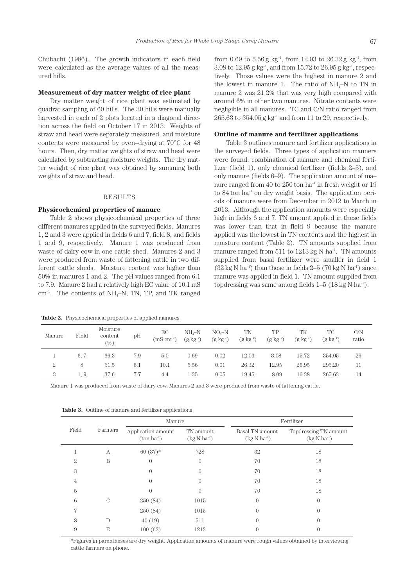Chubachi (1986). The growth indicators in each field were calculated as the average values of all the measured hills.

#### **Measurement of dry matter weight of rice plant**

Dry matter weight of rice plant was estimated by quadrat sampling of 60 hills. The 30 hills were manually harvested in each of 2 plots located in a diagonal direction across the field on October 17 in 2013. Weights of straw and head were separately measured, and moisture contents were measured by oven–drying at 70°C for 48 hours. Then, dry matter weights of straw and head were calculated by subtracting moisture weights. The dry matter weight of rice plant was obtained by summing both weights of straw and head.

## RESULTS

## **Physicochemical properties of manure**

Table 2 shows physicochemical properties of three different manures applied in the surveyed fields. Manures 1, 2 and 3 were applied in fields 6 and 7, field 8, and fields 1 and 9, respectively. Manure 1 was produced from waste of dairy cow in one cattle shed. Manures 2 and 3 were produced from waste of fattening cattle in two different cattle sheds. Moisture content was higher than 50% in manures 1 and 2. The pH values ranged from 6.1 to 7.9. Manure 2 had a relatively high EC value of 10.1 mS  $cm^{-1}$ . The contents of NH<sub>4</sub>–N, TN, TP, and TK ranged

**Table 2.** Physicochemical properties of applied manures

from 0.69 to 5.56 g kg<sup>-1</sup>, from 12.03 to 26.32 g kg<sup>-1</sup>, from 3.08 to 12.95 g kg<sup>-1</sup>, and from 15.72 to 26.95 g kg<sup>-1</sup>, respectively. Those values were the highest in manure 2 and the lowest in manure 1. The ratio of  $NH<sub>4</sub>-N$  to TN in manure 2 was 21.2% that was very high compared with around 6% in other two manures. Nitrate contents were negligible in all manures. TC and C/N ratio ranged from  $265.63$  to  $354.05$  g kg<sup>-1</sup> and from 11 to 29, respectively.

## **Outline of manure and fertilizer applications**

Table 3 outlines manure and fertilizer applications in the surveyed fields. Three types of application manners were found: combination of manure and chemical fertilizer (field 1), only chemical fertilizer (fields 2–5), and only manure (fields 6–9). The application amount of ma– nure ranged from 40 to  $250$  ton ha<sup>-1</sup> in fresh weight or 19 to  $84$  ton ha<sup>-1</sup> on dry weight basis. The application periods of manure were from December in 2012 to March in 2013. Although the application amounts were especially high in fields 6 and 7, TN amount applied in these fields was lower than that in field 9 because the manure applied was the lowest in TN contents and the highest in moisture content (Table 2). TN amounts supplied from manure ranged from  $511$  to  $1213$  kg N ha<sup>-1</sup>. TN amounts supplied from basal fertilizer were smaller in field 1  $(32 \text{ kg N} \text{ ha}^{-1})$  than those in fields 2–5 (70 kg N ha<sup>-1</sup>) since manure was applied in field 1. TN amount supplied from topdressing was same among fields  $1-5$  (18 kg N ha<sup>-1</sup>).

| Manure | Field | Moisture<br>content<br>$(\%)$ | pН  | EC<br>$(mS cm^{-1})$ | $NHa-N$<br>$(g \; kg^{-1})$ | $NO3-N$<br>$(g \; kg^{-1})$ | TN<br>$(g \; kg^{-1})$ | TP<br>$(g \; kg^{-1})$ | TK<br>$(g \; kg^{-1})$ | TC<br>$(g \; kg^{-1})$ | C/N<br>ratio |
|--------|-------|-------------------------------|-----|----------------------|-----------------------------|-----------------------------|------------------------|------------------------|------------------------|------------------------|--------------|
|        | 6, 7  | 66.3                          | 7.9 | 5.0                  | 0.69                        | 0.02                        | 12.03                  | 3.08                   | 15.72                  | 354.05                 | 29           |
| 2      | 8     | 51.5                          | 6.1 | 10.1                 | 5.56                        | 0.01                        | 26.32                  | 12.95                  | 26.95                  | 295.20                 |              |
| 3      | 1.9   | 37.6                          | 7.7 | 4.4                  | 1.35                        | 0.05                        | 19.45                  | 8.09                   | 16.38                  | 265.63                 | 14           |

Manure 1 was produced from waste of dairy cow. Manures 2 and 3 were produced from waste of fattening cattle.

| Field          |         | Manure                                       |                               | Fertilizer                          |                                           |  |
|----------------|---------|----------------------------------------------|-------------------------------|-------------------------------------|-------------------------------------------|--|
|                | Farmers | Application amount<br>$(\text{ton ha}^{-1})$ | TN amount<br>$(kg N ha^{-1})$ | Basal TN amount<br>$(kg N ha^{-1})$ | Topdressing TN amount<br>$(kg N ha^{-1})$ |  |
|                | A       | $60(37)$ *                                   | 728                           | 32                                  | 18                                        |  |
| $\overline{2}$ | B       | $\Omega$                                     | $\Omega$                      | 70                                  | 18                                        |  |
| 3              |         | $\theta$                                     |                               | 70                                  | 18                                        |  |
| 4              |         | $\Omega$                                     |                               | 70                                  | 18                                        |  |
| 5              |         | $\left($                                     |                               | 70                                  | 18                                        |  |
| 6              | C       | 250 (84)                                     | 1015                          | $\theta$                            | $\Omega$                                  |  |
| 7              |         | 250 (84)                                     | 1015                          | $\theta$                            | $\Omega$                                  |  |
| 8              | D       | 40(19)                                       | 511                           | 0                                   | $\Omega$                                  |  |
| 9              | Е       | 100(62)                                      | 1213                          |                                     | $\Omega$                                  |  |

**Table 3.** Outline of manure and fertilizer applications

\*Figures in parentheses are dry weight. Application amounts of manure were rough values obtained by interviewing cattle farmers on phone.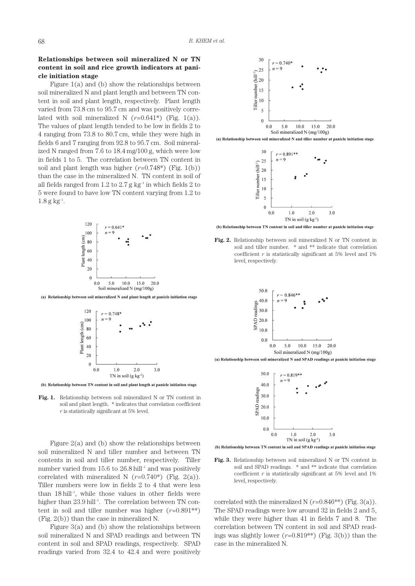# **Relationships between soil mineralized N or TN content in soil and rice growth indicators at panicle initiation stage**

Figure 1(a) and (b) show the relationships between soil mineralized N and plant length and between TN content in soil and plant length, respectively. Plant length varied from 73.8 cm to 95.7 cm and was positively correlated with soil mineralized N  $(r=0.641^*)$  (Fig. 1(a)). The values of plant length tended to be low in fields 2 to 4 ranging from 73.8 to 80.7 cm, while they were high in fields 6 and 7 ranging from 92.8 to 95.7 cm. Soil mineralized N ranged from 7.6 to 18.4 mg/100 g, which were low in fields 1 to 5. The correlation between TN content in soil and plant length was higher  $(r=0.748^*)$  (Fig. 1(b)) than the case in the mineralized N. TN content in soil of all fields ranged from 1.2 to  $2.7 g kg<sup>-1</sup>$  in which fields 2 to 5 were found to have low TN content varying from 1.2 to  $1.8 g kg^{-1}$ .



(a) Relationship between soil mineralized N and plant length at panicle initiation stage



(b) Relationship between TN content in soil and plant length at panicle initiation stage

**Fig. 1.** Relationship between soil mineralized N or TN content in soil and plant length. \* indicates that correlation coefficient *r* is statistically significant at 5% level.

Figure  $2(a)$  and (b) show the relationships between soil mineralized N and tiller number and between TN contents in soil and tiller number, respectively. Tiller number varied from  $15.6$  to  $26.8$  hill<sup>-1</sup> and was positively correlated with mineralized N  $(r=0.740^*)$  (Fig. 2(a)). Tiller numbers were low in fields 2 to 4 that were less than  $18$  hill<sup>-1</sup>, while those values in other fields were higher than  $23.9$  hill<sup>-1</sup>. The correlation between TN content in soil and tiller number was higher  $(r=0.891^{**})$ (Fig. 2(b)) than the case in mineralized N.

Figure 3(a) and (b) show the relationships between soil mineralized N and SPAD readings and between TN content in soil and SPAD readings, respectively. SPAD readings varied from 32.4 to 42.4 and were positively



(a) Relationship between soil mineralized N and tiller number at panicle initiation stage



(b) Relationship between TN content in soil and tiller number at panicle initiation stage

**Fig. 2.** Relationship between soil mineralized N or TN content in soil and tiller number. \* and \*\* indicate that correlation coefficient  $r$  is statistically significant at 5% level and 1% level, respectively.



(a) Relationship between soil mineralized N and SPAD readings at panicle initiation stage



(b) Relationship between TN content in soil and SPAD readings at panicle initiation stage

**Fig. 3.** Relationship between soil mineralized N or TN content in soil and SPAD readings. \* and \*\* indicate that correlation coefficient  $r$  is statistically significant at 5% level and 1% level, respectively.

correlated with the mineralized N  $(r=0.846**)$  (Fig. 3(a)). The SPAD readings were low around 32 in fields 2 and 5, while they were higher than 41 in fields 7 and 8. The correlation between TN content in soil and SPAD readings was slightly lower  $(r=0.819**)$  (Fig. 3(b)) than the case in the mineralized N.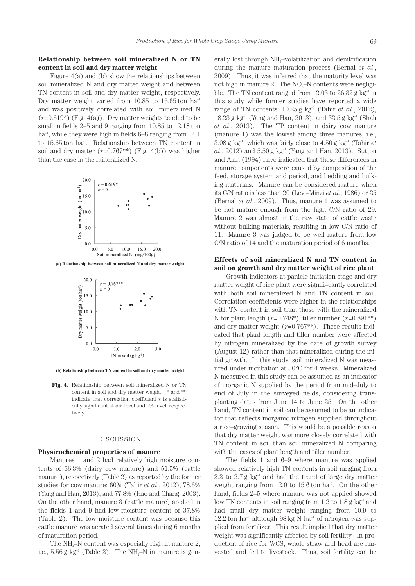# **Relationship between soil mineralized N or TN content in soil and dry matter weight**

Figure 4(a) and (b) show the relationships between soil mineralized N and dry matter weight and between TN content in soil and dry matter weight, respectively. Dry matter weight varied from  $10.85$  to  $15.65$  ton ha<sup>-1</sup> and was positively correlated with soil mineralized N  $(r=0.619^*)$  (Fig. 4(a)). Dry matter weights tended to be small in fields 2–5 and 9 ranging from 10.85 to 12.18 ton  $ha^{-1}$ , while they were high in fields 6–8 ranging from 14.1 to 15.65 ton ha–1. Relationship between TN content in soil and dry matter  $(r=0.767**)$  (Fig. 4(b)) was higher than the case in the mineralized N.



(a) Relationship between soil mineralized N and dry matter weight



(b) Relationship between TN content in soil and dry matter weight

**Fig. 4.** Relationship between soil mineralized N or TN content in soil and dry matter weight. \* and \*\* indicate that correlation coefficient *r* is statistically significant at 5% level and 1% level, respectively.

#### DISCUSSION

## **Physicochemical properties of manure**

Manures 1 and 2 had relatively high moisture contents of 66.3% (dairy cow manure) and 51.5% (cattle manure), respectively (Table 2) as reported by the former studies for cow manure: 60% (Tahir *et al*., 2012), 78.6% (Yang and Han, 2013), and 77.8% (Hao and Chang, 2003). On the other hand, manure 3 (cattle manure) applied in the fields 1 and 9 had low moisture content of 37.8% (Table 2). The low moisture content was because this cattle manure was aerated several times during 6 months of maturation period.

The  $NH<sub>4</sub>-N$  content was especially high in manure 2, i.e.,  $5.56$  g kg<sup>-1</sup> (Table 2). The NH<sub>4</sub>–N in manure is gen-

erally lost through  $NH<sub>3</sub>$ -volatilization and denitrification during the manure maturation process (Bernal *et al*., 2009). Thus, it was inferred that the maturity level was not high in manure 2. The  $NO<sub>3</sub>–N$  contents were negligible. The TN content ranged from  $12.03$  to  $26.32$  g kg<sup>-1</sup> in this study while former studies have reported a wide range of TN contents:  $10.25$  g kg<sup>-1</sup> (Tahir *et al.*, 2012), 18.23 g kg<sup>-1</sup> (Yang and Han, 2013), and  $32.5$  g kg<sup>-1</sup> (Shah *et al*., 2013). The TP content in dairy cow manure (manure 1) was the lowest among three manures, i.e.,  $3.08$  g kg<sup>-1</sup>, which was fairly close to  $4.50$  g kg<sup>-1</sup> (Tahir *et*  $al., 2012)$  and  $5.50 g kg^{-1}$  (Yang and Han, 2013). Sutton and Alan (1994) have indicated that these differences in manure components were caused by composition of the feed, storage system and period, and bedding and bulking materials. Manure can be considered mature when its C/N ratio is less than 20 (Levi–Minzi *et al*., 1986) or 25 (Bernal *et al*., 2009). Thus, manure 1 was assumed to be not mature enough from the high C/N ratio of 29. Manure 2 was almost in the raw state of cattle waste without bulking materials, resulting in low C/N ratio of 11. Manure 3 was judged to be well mature from low C/N ratio of 14 and the maturation period of 6 months.

## **Effects of soil mineralized N and TN content in soil on growth and dry matter weight of rice plant**

Growth indicators at panicle initiation stage and dry matter weight of rice plant were signifi–cantly correlated with both soil mineralized N and TN content in soil. Correlation coefficients were higher in the relationships with TN content in soil than those with the mineralized N for plant length  $(r=0.748^*)$ , tiller number  $(r=0.891^{**})$ and dry matter weight  $(r=0.767**)$ . These results indicated that plant length and tiller number were affected by nitrogen mineralized by the date of growth survey (August 12) rather than that mineralized during the initial growth. In this study, soil mineralized N was measured under incubation at 30°C for 4 weeks. Mineralized N measured in this study can be assumed as an indicator of inorganic N supplied by the period from mid–July to end of July in the surveyed fields, considering transplanting dates from June 14 to June 25. On the other hand, TN content in soil can be assumed to be an indicator that reflects inorganic nitrogen supplied throughout a rice–growing season. This would be a possible reason that dry matter weight was more closely correlated with TN content in soil than soil mineralized N comparing with the cases of plant length and tiller number.

The fields 1 and 6–9 where manure was applied showed relatively high TN contents in soil ranging from 2.2 to  $2.7 g \text{ kg}^{-1}$  and had the trend of large dry matter weight ranging from  $12.0$  to  $15.6$  ton ha<sup>-1</sup>. On the other hand, fields 2–5 where manure was not applied showed low TN contents in soil ranging from  $1.2$  to  $1.8$  g kg<sup>-1</sup> and had small dry matter weight ranging from 10.9 to  $12.2$  ton ha<sup>-1</sup> although 98 kg N ha<sup>-1</sup> of nitrogen was supplied from fertilizer. This result implied that dry matter weight was significantly affected by soil fertility. In production of rice for WCS, whole straw and head are harvested and fed to livestock. Thus, soil fertility can be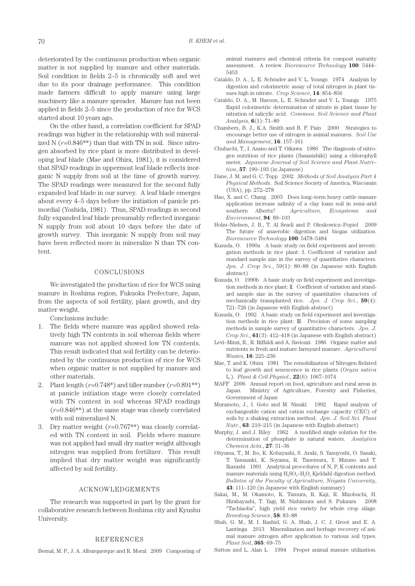deteriorated by the continuous production when organic matter is not supplied by manure and other materials. Soil condition in fields 2–5 is chronically soft and wet due to its poor drainage performance. This condition made farmers difficult to apply manure using large machinery like a manure spreader. Manure has not been applied in fields 2–5 since the production of rice for WCS started about 10 years ago.

On the other hand, a correlation coefficient for SPAD readings was higher in the relationship with soil mineralized N  $(r=0.846**)$  than that with TN in soil. Since nitrogen absorbed by rice plant is more distributed in developing leaf blade (Mae and Ohira, 1981), it is considered that SPAD readings in uppermost leaf blade reflects inorganic N supply from soil at the time of growth survey. The SPAD readings were measured for the second fully expanded leaf blade in our survey. A leaf blade emerges about every 4–5 days before the initiation of panicle primordial (Yoshida, 1981). Thus, SPAD readings in second fully expanded leaf blade presumably reflected inorganic N supply from soil about 10 days before the date of growth survey. This inorganic N supply from soil may have been reflected more in mineralize N than TN content.

## CONCLUSIONS

We investigated the production of rice for WCS using manure in Itoshima region, Fukuoka Prefecture, Japan, from the aspects of soil fertility, plant growth, and dry matter weight.

Conclusions include:

- 1. The fields where manure was applied showed relatively high TN contents in soil whereas fields where manure was not applied showed low TN contents. This result indicated that soil fertility can be deteriorated by the continuous production of rice for WCS when organic matter is not supplied by manure and other materials.
- 2. Plant length  $(r=0.748^*)$  and tiller number  $(r=0.891^{**})$ at panicle initiation stage were closely correlated with TN content in soil whereas SPAD readings (*r*=0.846\*\*) at the same stage was closely correlated with soil mineralized N.
- 3. Dry matter weight (*r*=0.767\*\*) was closely correlated with TN content in soil. Fields where manure was not applied had small dry matter weight although nitrogen was supplied from fertilizer. This result implied that dry matter weight was significantly affected by soil fertility.

#### ACKNOWLEDGEMENTS

The research was supported in part by the grant for collaborative research between Itoshima city and Kyushu University.

## REFERENCES

Bernal, M. P., J. A. Alburquerque and R. Moral 2009 Composting of

animal manures and chemical criteria for compost maturity assessment. A review. *Bioresource Technology* **100**: 5444– 5453

- Cataldo, D. A., L. E. Schrader and V. L. Youngs 1974 Analysis by digestion and colorimetric assay of total nitrogen in plant tissues high in nitrate. *Crop Science*, **14**: 854–856
- Cataldo, D. A., M. Haroon, L. E. Schrader and V. L. Youngs 1975 Rapid colorimetric determination of nitrate in plant tissue by nitration of salicylic acid. *Commun. Soil Science and Plant Analysis*, **6**(1): 71–80
- Chambers, B. J., K.A. Smith and B. F. Pain 2000 Strategies to encourage better use of nitrogen in animal manures. *Soil Use and Management*, **16**: 157–161
- Chubachi, T., I. Asano and T. Oikawa 1986 The diagnosis of nitrogen nutrition of rice plants (Sasanishiki) using a chlorophyll meter. *Japanese Journal of Soil Science and Plant Nutri– tion*, **57**: 190–193 (in Japanese)
- Dane, J. M. and G. C. Topp 2002 *Methods of Soil Analysis Part 4 Physical Methods*. Soil Science Society of America, Wisconsin (USA), pp. 272–278
- Hao, X. and C. Chang 2003 Does long–term heavy cattle manure application increase salinity of a clay loam soil in semi–arid southern Alberta? *Agriculture, Ecosystems and Environment*, **94**: 89–103
- Holm–Nielsen, J. B., T. Al Seadi and P. Oleskowicz–Popiel 2009 The future of anaerobic digestion and biogas utilization. *Bioresource Technology* **100**: 5478–5484
- Kusuda, O. 1990a A basic study on field experiment and investigation methods in rice plant: I. Coefficient of variation and standard sample size in the survey of quantitative characters. *Jpn. J. Crop Sci*., 59(1): 80–88 (in Japanese with English abstract)
- Kusuda, O. 1990b A basic study on field experiment and investigation methods in rice plant: II. Coefficient of variation and standard sample size in the survey of quantitative characters of mechanically transplanted rice. *Jpn. J. Crop Sci*., **59**(4): 721–726 (in Japanese with English abstract)
- Kusuda, O. 1992 A basic study on field experiment and investigation methods in rice plant: III. Precision of some sampling methods in sample survey of quantitative characters. *Jpn. J. Crop Sci*., **61**(3): 412–418 (in Japanese with English abstract)
- Levi–Minzi, R., R. Riffaldi and A. Saviozzi 1986 Organic matter and nutrients in fresh and mature farmyard manure. *Agricultural Wastes*, **16**: 225–236
- Mae, T. and K. Ohira 1981 The remobilization of Nitrogen Related to leaf growth and senescence in rice plants (*Oryza sativa* L.). *Plant & Cell Physiol*., **22**(6): 1067–1074
- MAFF 2006 Annual report on food, agriculture and rural areas in Japan. Ministry of Agriculture, Forestry and Fisheries, Government of Japan
- Muramoto, J., I. Goto and M. Ninaki 1992 Rapid analysis of exchangeable cation and cation exchange capacity (CEC) of soils by a shaking extraction method. *Jpn. J. Soil Sci. Plant Nutr*., **63**: 210–215 (in Japanese with English abstract)
- Murphy, J. and J. Riley 1962 A modified single solution for the determination of phosphate in natural waters. *Analytica Chemica Acta*., **27**: 31–36
- Ohyama, T., M. Ito, K. Kobayashi, S. Araki, S. Yasuyoshi, O. Sasaki, T. Yamazaki, K. Soyama, R. Tanemura, Y. Mizuno and T. Ikarashi 1991 Analytical procedures of N, P, K contents and manure materials using  $H_2SO_4-H_2O_2$  Kjeldahl digestion method. *Bulletin of the Faculty of Agriculture, Niigata University*, **43**: 111–120 (in Japanese with English summary)
- Sakai, M., M. Okamoto, K. Tamura, R. Kaji, R. Mizobuchi, H. Hirabayashi, T. Yagi, M. Nishimura and S. Fukaura 2008 "Tachiaoba", high yield rice variety for whole crop silage. *Breeding Science*, **58**: 83–88
- Shah, G. M., M. I. Rashid, G. A. Shah, J. C. J. Groot and E. A. Lantinga 2013 Mineralization and herbage recovery of animal manure nitrogen after application to various soil types. *Plant Soil*, **365**: 69–75
- Sutton and L. Alan L 1994 Proper animal manure utilization.